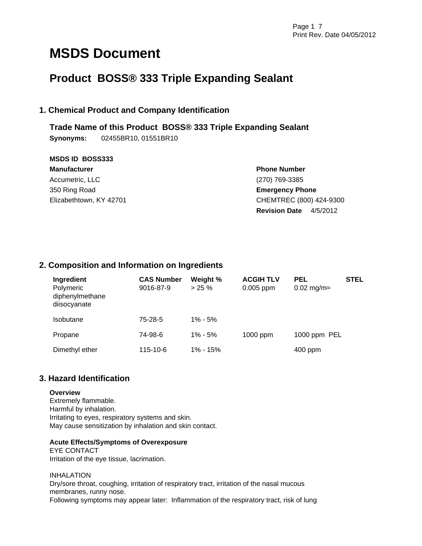# **MSDS Document**

## **Product BOSS® 333 Triple Expanding Sealant**

### **1. Chemical Product and Company Identification**

**Trade Name of this Product BOSS® 333 Triple Expanding Sealant Synonyms:** 02455BR10, 01551BR10

| <b>MSDS ID BOSS333</b>  |                                  |  |  |
|-------------------------|----------------------------------|--|--|
| <b>Manufacturer</b>     | <b>Phone Number</b>              |  |  |
| Accumetric, LLC         | (270) 769-3385                   |  |  |
| 350 Ring Road           | <b>Emergency Phone</b>           |  |  |
| Elizabethtown, KY 42701 | CHEMTREC (800) 424-9300          |  |  |
|                         | <b>Revision Date</b><br>4/5/2012 |  |  |

### **2. Composition and Information on Ingredients**

| Ingredient<br>Polymeric<br>diphenylmethane<br>diisocyanate | <b>CAS Number</b><br>9016-87-9 | Weight %<br>$> 25 \%$ | <b>ACGIH TLV</b><br>$0.005$ ppm | <b>PEL</b><br>$0.02$ mg/m | <b>STEL</b> |
|------------------------------------------------------------|--------------------------------|-----------------------|---------------------------------|---------------------------|-------------|
| <b>Isobutane</b>                                           | 75-28-5                        | $1\% - 5\%$           |                                 |                           |             |
| Propane                                                    | 74-98-6                        | $1\% - 5\%$           | 1000 ppm                        | 1000 ppm PEL              |             |
| Dimethyl ether                                             | 115-10-6                       | $1\% - 15\%$          |                                 | $400$ ppm                 |             |

### **3. Hazard Identification**

### **Overview**

Extremely flammable. Harmful by inhalation. Irritating to eyes, respiratory systems and skin. May cause sensitization by inhalation and skin contact.

### **Acute Effects/Symptoms of Overexposure**

EYE CONTACT Irritation of the eye tissue, lacrimation.

INHALATION Dry/sore throat, coughing, irritation of respiratory tract, irritation of the nasal mucous membranes, runny nose. Following symptoms may appear later: Inflammation of the respiratory tract, risk of lung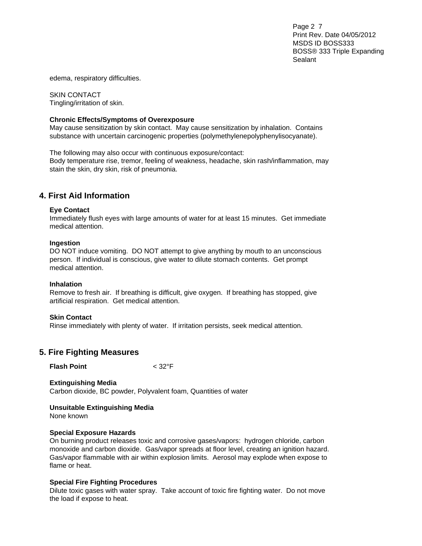Page 2 7 Print Rev. Date 04/05/2012 MSDS ID BOSS333 BOSS® 333 Triple Expanding Sealant

edema, respiratory difficulties.

SKIN CONTACT Tingling/irritation of skin.

#### **Chronic Effects/Symptoms of Overexposure**

May cause sensitization by skin contact. May cause sensitization by inhalation. Contains substance with uncertain carcinogenic properties (polymethylenepolyphenylisocyanate).

The following may also occur with continuous exposure/contact: Body temperature rise, tremor, feeling of weakness, headache, skin rash/inflammation, may stain the skin, dry skin, risk of pneumonia.

### **4. First Aid Information**

#### **Eye Contact**

Immediately flush eyes with large amounts of water for at least 15 minutes. Get immediate medical attention.

#### **Ingestion**

DO NOT induce vomiting. DO NOT attempt to give anything by mouth to an unconscious person. If individual is conscious, give water to dilute stomach contents. Get prompt medical attention.

#### **Inhalation**

Remove to fresh air. If breathing is difficult, give oxygen. If breathing has stopped, give artificial respiration. Get medical attention.

#### **Skin Contact**

Rinse immediately with plenty of water. If irritation persists, seek medical attention.

### **5. Fire Fighting Measures**

**Flash Point** < 32°F

**Extinguishing Media**  Carbon dioxide, BC powder, Polyvalent foam, Quantities of water

**Unsuitable Extinguishing Media**  None known

### **Special Exposure Hazards**

On burning product releases toxic and corrosive gases/vapors: hydrogen chloride, carbon monoxide and carbon dioxide. Gas/vapor spreads at floor level, creating an ignition hazard. Gas/vapor flammable with air within explosion limits. Aerosol may explode when expose to flame or heat.

### **Special Fire Fighting Procedures**

Dilute toxic gases with water spray. Take account of toxic fire fighting water. Do not move the load if expose to heat.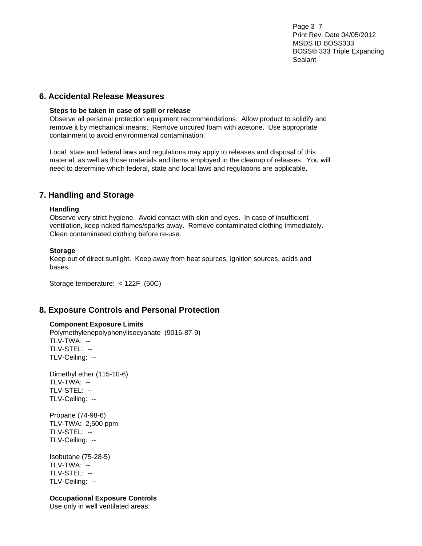Page 3 7 Print Rev. Date 04/05/2012 MSDS ID BOSS333 BOSS® 333 Triple Expanding Sealant

### **6. Accidental Release Measures**

#### **Steps to be taken in case of spill or release**

Observe all personal protection equipment recommendations. Allow product to solidify and remove it by mechanical means. Remove uncured foam with acetone. Use appropriate containment to avoid environmental contamination.

Local, state and federal laws and regulations may apply to releases and disposal of this material, as well as those materials and items employed in the cleanup of releases. You will need to determine which federal, state and local laws and regulations are applicable.

### **7. Handling and Storage**

### **Handling**

Observe very strict hygiene. Avoid contact with skin and eyes. In case of insufficient ventilation, keep naked flames/sparks away. Remove contaminated clothing immediately. Clean contaminated clothing before re-use.

### **Storage**

Keep out of direct sunlight. Keep away from heat sources, ignition sources, acids and bases.

Storage temperature: < 122F (50C)

### **8. Exposure Controls and Personal Protection**

### **Component Exposure Limits**

Polymethylenepolyphenylisocyanate (9016-87-9) TLV-TWA: -- TLV-STEL: -- TLV-Ceiling: --

Dimethyl ether (115-10-6) TLV-TWA: -- TLV-STEL: -- TLV-Ceiling: --

Propane (74-98-6) TLV-TWA: 2,500 ppm TLV-STEL: -- TLV-Ceiling: --

Isobutane (75-28-5) TLV-TWA: -- TLV-STEL: -- TLV-Ceiling: --

### **Occupational Exposure Controls**

Use only in well ventilated areas.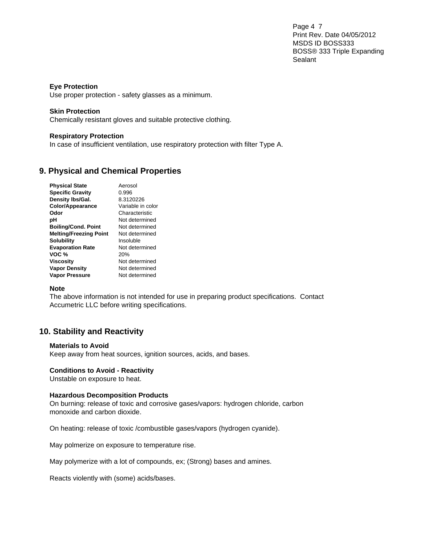Page 4 7 Print Rev. Date 04/05/2012 MSDS ID BOSS333 BOSS® 333 Triple Expanding Sealant

### **Eye Protection**

Use proper protection - safety glasses as a minimum.

### **Skin Protection**

Chemically resistant gloves and suitable protective clothing.

### **Respiratory Protection**

In case of insufficient ventilation, use respiratory protection with filter Type A.

### **9. Physical and Chemical Properties**

| <b>Physical State</b>         | Aerosol           |
|-------------------------------|-------------------|
| <b>Specific Gravity</b>       | 0.996             |
| Density Ibs/Gal.              | 8.3120226         |
| Color/Appearance              | Variable in color |
| Odor                          | Characteristic    |
| рH                            | Not determined    |
| <b>Boiling/Cond. Point</b>    | Not determined    |
| <b>Melting/Freezing Point</b> | Not determined    |
| Solubility                    | Insoluble         |
| <b>Evaporation Rate</b>       | Not determined    |
| VOC %                         | 20%               |
| Viscositv                     | Not determined    |
| <b>Vapor Density</b>          | Not determined    |
| <b>Vapor Pressure</b>         | Not determined    |

### **Note**

The above information is not intended for use in preparing product specifications. Contact Accumetric LLC before writing specifications.

### **10. Stability and Reactivity**

### **Materials to Avoid**

Keep away from heat sources, ignition sources, acids, and bases.

### **Conditions to Avoid - Reactivity**

Unstable on exposure to heat.

### **Hazardous Decomposition Products**

On burning: release of toxic and corrosive gases/vapors: hydrogen chloride, carbon monoxide and carbon dioxide.

On heating: release of toxic /combustible gases/vapors (hydrogen cyanide).

May polmerize on exposure to temperature rise.

May polymerize with a lot of compounds, ex; (Strong) bases and amines.

Reacts violently with (some) acids/bases.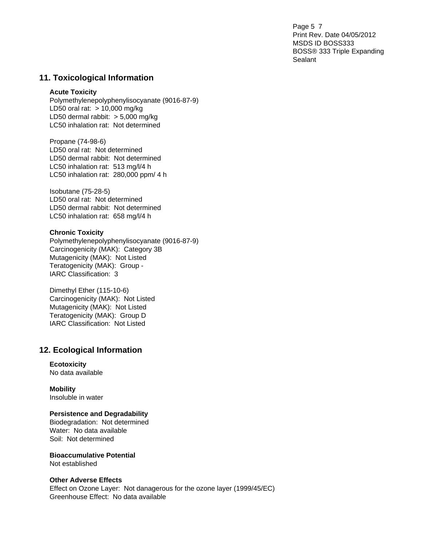Page 5 7 Print Rev. Date 04/05/2012 MSDS ID BOSS333 BOSS® 333 Triple Expanding Sealant

### **11. Toxicological Information**

#### **Acute Toxicity**

Polymethylenepolyphenylisocyanate (9016-87-9) LD50 oral rat: > 10,000 mg/kg LD50 dermal rabbit: > 5,000 mg/kg LC50 inhalation rat: Not determined

Propane (74-98-6) LD50 oral rat: Not determined LD50 dermal rabbit: Not determined LC50 inhalation rat: 513 mg/l/4 h LC50 inhalation rat: 280,000 ppm/ 4 h

Isobutane (75-28-5) LD50 oral rat: Not determined LD50 dermal rabbit: Not determined LC50 inhalation rat: 658 mg/l/4 h

#### **Chronic Toxicity**

Polymethylenepolyphenylisocyanate (9016-87-9) Carcinogenicity (MAK): Category 3B Mutagenicity (MAK): Not Listed Teratogenicity (MAK): Group - IARC Classification: 3

Dimethyl Ether (115-10-6) Carcinogenicity (MAK): Not Listed Mutagenicity (MAK): Not Listed Teratogenicity (MAK): Group D IARC Classification: Not Listed

### **12. Ecological Information**

### **Ecotoxicity**

No data available

**Mobility**  Insoluble in water

### **Persistence and Degradability**

Biodegradation: Not determined Water: No data available Soil: Not determined

**Bioaccumulative Potential**  Not established

### **Other Adverse Effects**

Effect on Ozone Layer: Not danagerous for the ozone layer (1999/45/EC) Greenhouse Effect: No data available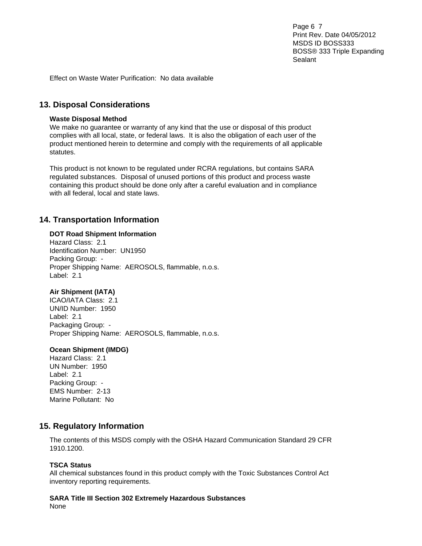Page 6 7 Print Rev. Date 04/05/2012 MSDS ID BOSS333 BOSS® 333 Triple Expanding Sealant

Effect on Waste Water Purification: No data available

### **13. Disposal Considerations**

#### **Waste Disposal Method**

We make no guarantee or warranty of any kind that the use or disposal of this product complies with all local, state, or federal laws. It is also the obligation of each user of the product mentioned herein to determine and comply with the requirements of all applicable statutes.

This product is not known to be regulated under RCRA regulations, but contains SARA regulated substances. Disposal of unused portions of this product and process waste containing this product should be done only after a careful evaluation and in compliance with all federal, local and state laws.

### **14. Transportation Information**

#### **DOT Road Shipment Information**

Hazard Class: 2.1 Identification Number: UN1950 Packing Group: - Proper Shipping Name: AEROSOLS, flammable, n.o.s. Label: 2.1

### **Air Shipment (IATA)**

ICAO/IATA Class: 2.1 UN/ID Number: 1950 Label: 2.1 Packaging Group: - Proper Shipping Name: AEROSOLS, flammable, n.o.s.

#### **Ocean Shipment (IMDG)**

Hazard Class: 2.1 UN Number: 1950 Label: 2.1 Packing Group: - EMS Number: 2-13 Marine Pollutant: No

### **15. Regulatory Information**

The contents of this MSDS comply with the OSHA Hazard Communication Standard 29 CFR 1910.1200.

#### **TSCA Status**

All chemical substances found in this product comply with the Toxic Substances Control Act inventory reporting requirements.

## **SARA Title III Section 302 Extremely Hazardous Substances**

None